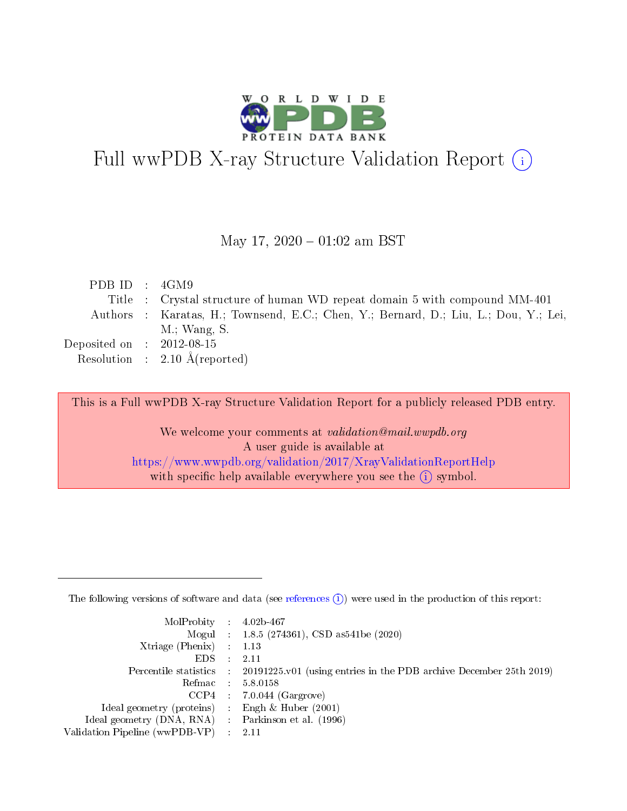

# Full wwPDB X-ray Structure Validation Report (i)

#### May 17,  $2020 - 01:02$  am BST

| PDB ID : $4GM9$             |                                                                                      |
|-----------------------------|--------------------------------------------------------------------------------------|
|                             | Title : Crystal structure of human WD repeat domain 5 with compound MM-401           |
|                             | Authors : Karatas, H.; Townsend, E.C.; Chen, Y.; Bernard, D.; Liu, L.; Dou, Y.; Lei, |
|                             | $M$ .; Wang, S.                                                                      |
| Deposited on : $2012-08-15$ |                                                                                      |
|                             | Resolution : $2.10 \text{ Å}$ (reported)                                             |
|                             |                                                                                      |

This is a Full wwPDB X-ray Structure Validation Report for a publicly released PDB entry.

We welcome your comments at validation@mail.wwpdb.org A user guide is available at <https://www.wwpdb.org/validation/2017/XrayValidationReportHelp> with specific help available everywhere you see the  $(i)$  symbol.

The following versions of software and data (see [references](https://www.wwpdb.org/validation/2017/XrayValidationReportHelp#references)  $(1)$ ) were used in the production of this report:

| $MolProbability$ : 4.02b-467                      |                              |                                                                                            |
|---------------------------------------------------|------------------------------|--------------------------------------------------------------------------------------------|
|                                                   |                              | Mogul : 1.8.5 (274361), CSD as 541be (2020)                                                |
| Xtriage (Phenix) $: 1.13$                         |                              |                                                                                            |
| EDS –                                             | $\sim$                       | -2.11                                                                                      |
|                                                   |                              | Percentile statistics : 20191225.v01 (using entries in the PDB archive December 25th 2019) |
| Refmac : 5.8.0158                                 |                              |                                                                                            |
| CCP4                                              |                              | $7.0.044$ (Gargrove)                                                                       |
| Ideal geometry (proteins)                         | $\mathcal{L}_{\mathrm{eff}}$ | Engh & Huber $(2001)$                                                                      |
| Ideal geometry (DNA, RNA) Parkinson et al. (1996) |                              |                                                                                            |
| Validation Pipeline (wwPDB-VP) : 2.11             |                              |                                                                                            |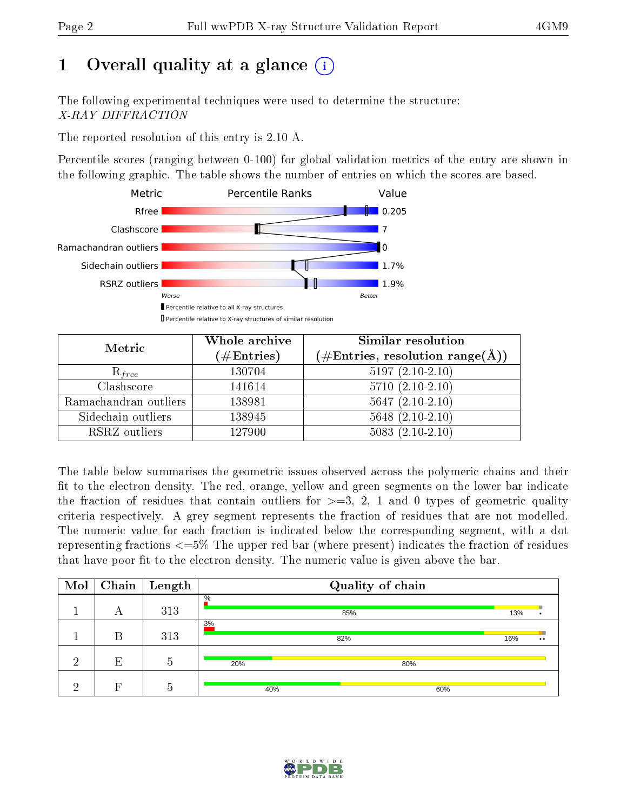# 1 [O](https://www.wwpdb.org/validation/2017/XrayValidationReportHelp#overall_quality)verall quality at a glance  $(i)$

The following experimental techniques were used to determine the structure: X-RAY DIFFRACTION

The reported resolution of this entry is 2.10 Å.

Percentile scores (ranging between 0-100) for global validation metrics of the entry are shown in the following graphic. The table shows the number of entries on which the scores are based.



| Metric                | Whole archive<br>$(\#\text{Entries})$ | Similar resolution<br>$(\#\text{Entries},\,\text{resolution}\,\,\text{range}(\textup{\AA}))$ |
|-----------------------|---------------------------------------|----------------------------------------------------------------------------------------------|
| $R_{free}$            | 130704                                | $5197(2.10-2.10)$                                                                            |
| Clashscore            | 141614                                | $5710(2.10-2.10)$                                                                            |
| Ramachandran outliers | 138981                                | $5647 (2.10-2.10)$                                                                           |
| Sidechain outliers    | 138945                                | $5648$ $(2.10-2.10)$                                                                         |
| RSRZ outliers         | 127900                                | $5083(2.10-2.10)$                                                                            |

The table below summarises the geometric issues observed across the polymeric chains and their fit to the electron density. The red, orange, yellow and green segments on the lower bar indicate the fraction of residues that contain outliers for  $>=3, 2, 1$  and 0 types of geometric quality criteria respectively. A grey segment represents the fraction of residues that are not modelled. The numeric value for each fraction is indicated below the corresponding segment, with a dot representing fractions  $\epsilon=5\%$  The upper red bar (where present) indicates the fraction of residues that have poor fit to the electron density. The numeric value is given above the bar.

| Mol |   | $\fbox{Chain}$ Length          | Quality of chain |     |                  |  |
|-----|---|--------------------------------|------------------|-----|------------------|--|
|     | А | 313                            | $\%$<br>85%      | 13% |                  |  |
|     | В | 313                            | 3%<br>82%        | 16% | $\bullet\bullet$ |  |
| ച   | E | $\overline{\phantom{0}}$<br>.5 | 20%<br>80%       |     |                  |  |
| റ   | Ы | h                              | 40%<br>60%       |     |                  |  |

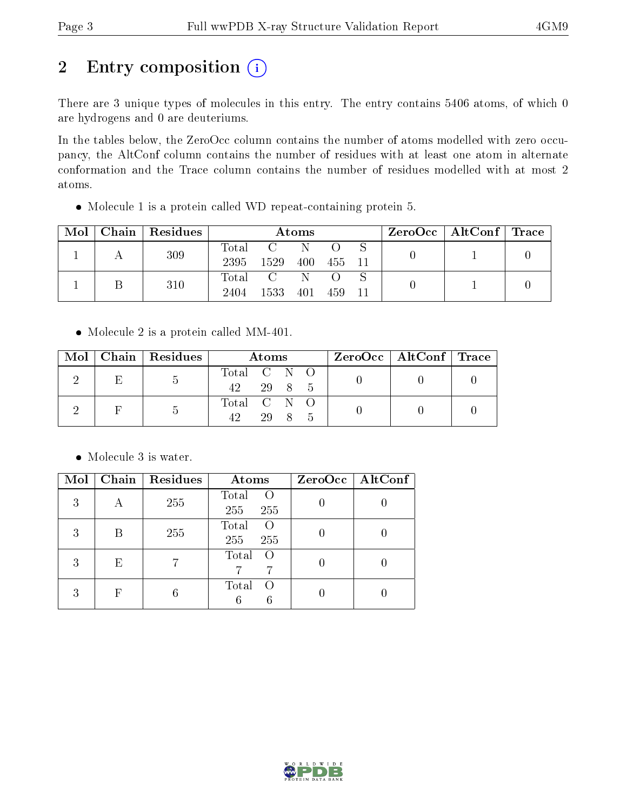# 2 Entry composition (i)

There are 3 unique types of molecules in this entry. The entry contains 5406 atoms, of which 0 are hydrogens and 0 are deuteriums.

In the tables below, the ZeroOcc column contains the number of atoms modelled with zero occupancy, the AltConf column contains the number of residues with at least one atom in alternate conformation and the Trace column contains the number of residues modelled with at most 2 atoms.

Molecule 1 is a protein called WD repeat-containing protein 5.

| $\bf{Mol}$ | Chain   Residues | Atoms               |                 |     |            | $\text{ZeroOcc} \mid \text{AltConf} \mid \text{Trace}$ |  |  |
|------------|------------------|---------------------|-----------------|-----|------------|--------------------------------------------------------|--|--|
|            | 309              | $\rm Total$<br>2395 | 1529            | 400 | - 455 - 11 |                                                        |  |  |
|            | 310              | 2404                | Total C<br>1533 | 401 | -459       |                                                        |  |  |

• Molecule 2 is a protein called MM-401.

| Mol |   | Chain   Residues | Atoms              |        | $ZeroOcc \mid AltConf \mid Trace$ |  |  |
|-----|---|------------------|--------------------|--------|-----------------------------------|--|--|
|     | E |                  | Total C N O<br>42. | 29 8 5 |                                   |  |  |
|     |   | $\mathfrak{D}$   | Total C N O        | 29 8   |                                   |  |  |

• Molecule 3 is water.

| Mol |            | Chain   Residues | Atoms                                   | $ZeroOcc \   \$ AltConf |
|-----|------------|------------------|-----------------------------------------|-------------------------|
| 3   | А          | 255              | Total<br>$\left( \right)$<br>255<br>255 |                         |
| 3   | В          | 255              | Total<br>$\left( \right)$<br>255<br>255 |                         |
| 3   | E          |                  | Total<br>$\left($<br>7                  |                         |
| 3   | $_{\rm F}$ | 6                | Total<br>$\left( \right)$<br>6<br>6     |                         |

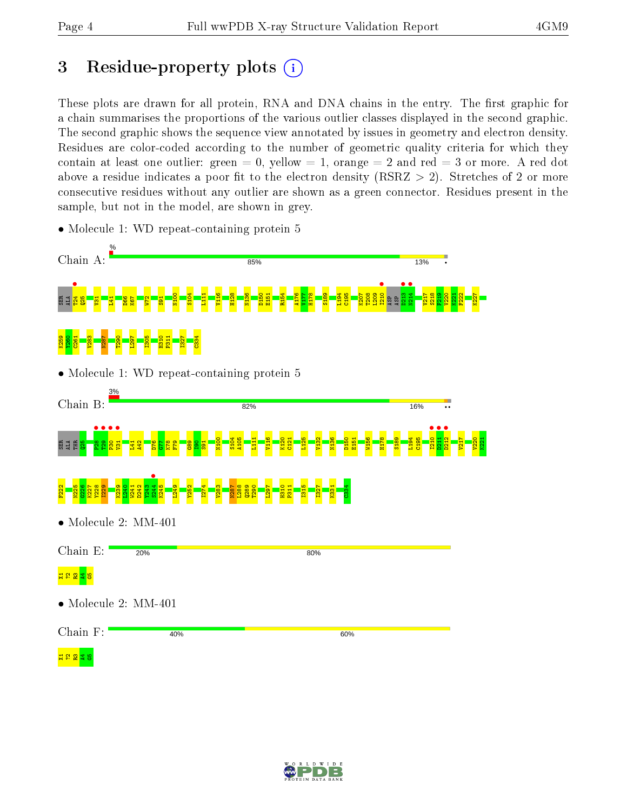## 3 Residue-property plots  $(i)$

These plots are drawn for all protein, RNA and DNA chains in the entry. The first graphic for a chain summarises the proportions of the various outlier classes displayed in the second graphic. The second graphic shows the sequence view annotated by issues in geometry and electron density. Residues are color-coded according to the number of geometric quality criteria for which they contain at least one outlier: green  $= 0$ , yellow  $= 1$ , orange  $= 2$  and red  $= 3$  or more. A red dot above a residue indicates a poor fit to the electron density (RSRZ  $> 2$ ). Stretches of 2 or more consecutive residues without any outlier are shown as a green connector. Residues present in the sample, but not in the model, are shown in grey.



• Molecule 1: WD repeat-containing protein 5

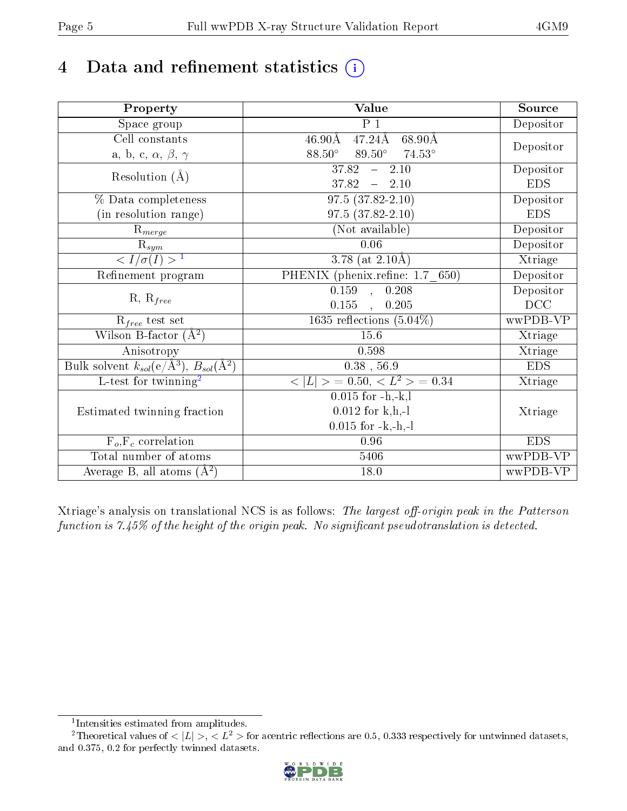# 4 Data and refinement statistics  $(i)$

| Property                                                             | Value                                                       | Source     |
|----------------------------------------------------------------------|-------------------------------------------------------------|------------|
| Space group                                                          | P <sub>1</sub>                                              | Depositor  |
| Cell constants                                                       | $47.24\text{\AA}$<br>$46.90\text{\AA}$<br>$68.90\text{\AA}$ |            |
| a, b, c, $\alpha$ , $\beta$ , $\gamma$                               | $88.50^\circ$<br>$89.50^{\circ}$ 74.53°                     | Depositor  |
| Resolution $(\AA)$                                                   | $\overline{37.82}$ - 2.10                                   | Depositor  |
|                                                                      | $37.82 - 2.10$                                              | <b>EDS</b> |
| % Data completeness                                                  | $97.5(37.82 - 2.10)$                                        | Depositor  |
| (in resolution range)                                                | $97.5(37.82 - 2.10)$                                        | <b>EDS</b> |
| $R_{merge}$                                                          | (Not available)                                             | Depositor  |
| $\bar{\mathrm{R}}_{\underline{sym}}$                                 | 0.06                                                        | Depositor  |
| $\sqrt{I/\sigma(I)} > 1$                                             | $3.78$ (at $2.10\text{\AA})$                                | Xtriage    |
| Refinement program                                                   | PHENIX (phenix.refine: 1.7 650)                             | Depositor  |
| $R, R_{free}$                                                        | $0.159$ , $0.208$                                           | Depositor  |
|                                                                      | 0.155,<br>0.205                                             | DCC        |
| $R_{free}$ test set                                                  | $1635$ reflections $(5.04\%)$                               | wwPDB-VP   |
| Wilson B-factor $(A^2)$                                              | 15.6                                                        | Xtriage    |
| Anisotropy                                                           | 0.598                                                       | Xtriage    |
| Bulk solvent $k_{sol}(e/\mathring{A}^3)$ , $B_{sol}(\mathring{A}^2)$ | $0.38$ , 56.9                                               | <b>EDS</b> |
| $\overline{L-test for }$ twinning <sup>2</sup>                       | $< L >$ = 0.50, $< L^2 >$ = 0.34                            | Xtriage    |
|                                                                      | $0.015$ for $-h,-k,l$                                       |            |
| Estimated twinning fraction                                          | $0.012$ for k,h,-l                                          | Xtriage    |
|                                                                      | $0.015$ for $-k,-h,-l$                                      |            |
| $F_o, F_c$ correlation                                               | 0.96                                                        | <b>EDS</b> |
| Total number of atoms                                                | 5406                                                        | wwPDB-VP   |
| Average B, all atoms $(A^2)$                                         | 18.0                                                        | wwPDB-VP   |

Xtriage's analysis on translational NCS is as follows: The largest off-origin peak in the Patterson function is  $7.45\%$  of the height of the origin peak. No significant pseudotranslation is detected.

<sup>&</sup>lt;sup>2</sup>Theoretical values of  $\langle |L| \rangle$ ,  $\langle L^2 \rangle$  for acentric reflections are 0.5, 0.333 respectively for untwinned datasets, and 0.375, 0.2 for perfectly twinned datasets.



<span id="page-4-1"></span><span id="page-4-0"></span><sup>1</sup> Intensities estimated from amplitudes.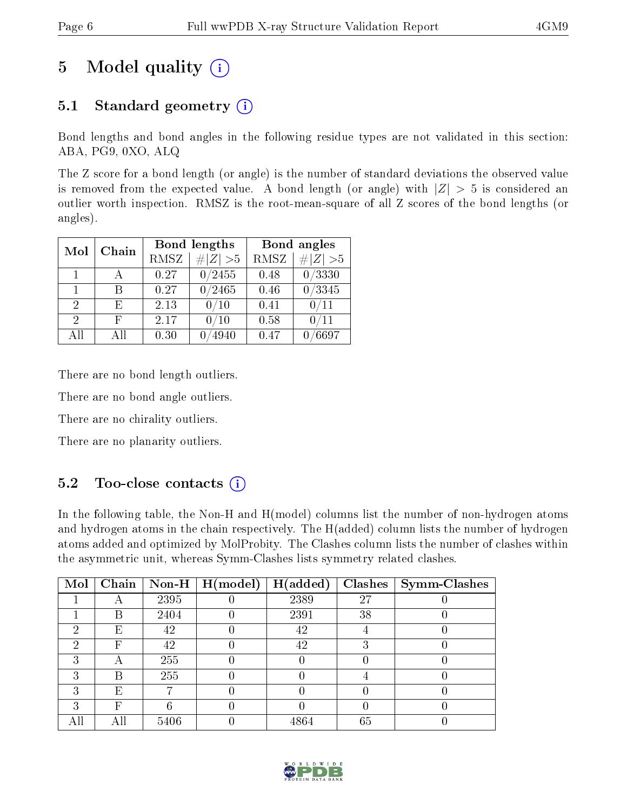# 5 Model quality  $(i)$

## 5.1 Standard geometry  $(i)$

Bond lengths and bond angles in the following residue types are not validated in this section: ABA, PG9, 0XO, ALQ

The Z score for a bond length (or angle) is the number of standard deviations the observed value is removed from the expected value. A bond length (or angle) with  $|Z| > 5$  is considered an outlier worth inspection. RMSZ is the root-mean-square of all Z scores of the bond lengths (or angles).

| Mol                         | Chain |      | Bond lengths | Bond angles |                 |  |
|-----------------------------|-------|------|--------------|-------------|-----------------|--|
|                             |       | RMSZ | $\# Z  > 5$  | RMSZ        | $\# Z  > 5$     |  |
| $\mathbf{1}$                |       | 0.27 | 0/2455       | 0.48        | 0/3330          |  |
| $\mathbf{1}$                | R     | 0.27 | 0/2465       | 0.46        | $\sqrt{0/3345}$ |  |
| $\mathcal{D}_{\mathcal{A}}$ | F,    | 2.13 | 0/10         | 0.41        | 0/11            |  |
| $\mathcal{D}$               | F     | 2.17 | 0/10         | 0.58        | 0/11            |  |
| All                         | ΑH    | 0.30 | 4940         | 0.47        | $\sqrt{6697}$   |  |

There are no bond length outliers.

There are no bond angle outliers.

There are no chirality outliers.

There are no planarity outliers.

### $5.2$  Too-close contacts  $\overline{1}$

In the following table, the Non-H and H(model) columns list the number of non-hydrogen atoms and hydrogen atoms in the chain respectively. The H(added) column lists the number of hydrogen atoms added and optimized by MolProbity. The Clashes column lists the number of clashes within the asymmetric unit, whereas Symm-Clashes lists symmetry related clashes.

| Mol | Chain |      | $\sqrt{\text{Non-H} \mid \text{H}(\text{model})}$ | H(added) |    | $Clashes$   Symm-Clashes |
|-----|-------|------|---------------------------------------------------|----------|----|--------------------------|
|     |       | 2395 |                                                   | 2389     | 27 |                          |
|     | В     | 2404 |                                                   | 2391     | 38 |                          |
| 9   | E     | 42   |                                                   | 42       |    |                          |
| ച   | F     | 42   |                                                   | 42       |    |                          |
|     | Α     | 255  |                                                   |          |    |                          |
|     | В     | 255  |                                                   |          |    |                          |
| ີ   | E     |      |                                                   |          |    |                          |
| ົ   | F     |      |                                                   |          |    |                          |
|     |       | 5406 |                                                   | 4864     | 65 |                          |

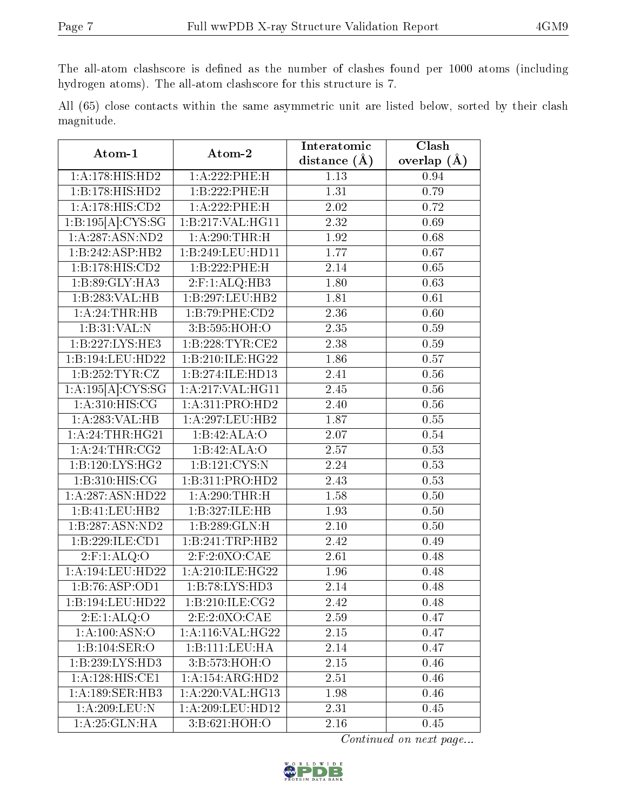The all-atom clashscore is defined as the number of clashes found per 1000 atoms (including hydrogen atoms). The all-atom clashscore for this structure is 7.

All (65) close contacts within the same asymmetric unit are listed below, sorted by their clash magnitude.

| Atom-1                         | Atom-2              | Interatomic       | Clash             |  |
|--------------------------------|---------------------|-------------------|-------------------|--|
|                                |                     | distance $(A)$    | overlap $(A)$     |  |
| 1: A:178:HIS:HD2               | 1:A:222:PHE:H       | 1.13              | 0.94              |  |
| 1:B:178:HIS:HD2                | 1:B:222:PHE:H       | 1.31              | 0.79              |  |
| 1:A:178:HIS:CD2                | 1:A:222:PHE:H       | 2.02              | 0.72              |  |
| $1:B:195[A]\overline{:CYS:SG}$ | 1:B:217:VAL:HG11    | 2.32              | 0.69              |  |
| 1: A: 287: ASN: ND2            | 1: A:290:THR:H      | 1.92              | 0.68              |  |
| 1:B:242:ASP:HB2                | 1:B:249:LEU:HD11    | 1.77              | 0.67              |  |
| 1:B:178:HIS:CD2                | 1:B:222:PHE:H       | 2.14              | 0.65              |  |
| 1:B:89:GLY:HA3                 | $2:$ F:1:ALQ:HB3    | 1.80              | 0.63              |  |
| 1:B:283:VAL:HB                 | 1:B:297:LEU:HB2     | 1.81              | 0.61              |  |
| 1:A:24:THR:HB                  | 1:B:79:PHE:CD2      | 2.36              | 0.60              |  |
| 1:B:31:VAL:N                   | 3:B:595:HOH:O       | 2.35              | 0.59              |  |
| 1:B:227:LYS:HE3                | 1:B:228:TYR:CE2     | 2.38              | 0.59              |  |
| 1:B:194:LEU:HD22               | 1:B:210:ILE:HG22    | 1.86              | 0.57              |  |
| $1:B:252:TYR: \overline{CZ}$   | 1:B:274:ILE:HD13    | 2.41              | 0.56              |  |
| 1:A:195[A]:CYS:SG              | 1:A:217:VAL:HG11    | 2.45              | 0.56              |  |
| 1: A:310:HIS:CG                | 1: A:311: PRO:HD2   | 2.40              | 0.56              |  |
| 1:A:283:VAL:HB                 | 1:A:297:LEU:HB2     | 1.87              | $\overline{0.55}$ |  |
| 1:A:24:THR:HG21                | 1:B:42:ALA:O        | 2.07              | 0.54              |  |
| 1:A:24:THR:CG2                 | 1:B:42:ALA:O        | 2.57              | 0.53              |  |
| 1:B:120:LYS:HG2                | 1:B:121:CYS:N       | 2.24              | 0.53              |  |
| 1:B:310:HIS:CG                 | 1:B:311:PRO:HD2     | 2.43              | 0.53              |  |
| 1:A:287:ASN:HD22               | 1: A:290:THR:H      | 1.58              | $\overline{0.50}$ |  |
| 1:B:41:LEU:HB2                 | 1:B:327:ILE:HB      | 1.93              | 0.50              |  |
| 1:B:287:ASN:ND2                | 1:B:289:GLN:H       | $\overline{2.10}$ | 0.50              |  |
| 1:B:229:ILE:CD1                | 1:B:241:TRP:HB2     | 2.42              | 0.49              |  |
| $2:$ F:1:ALQ:O                 | 2:F:2:0XO:CAE       | 2.61              | 0.48              |  |
| 1: A:194:LEU:HD22              | 1: A:210: ILE: HG22 | 1.96              | 0.48              |  |
| 1:B:76:ASP:OD1                 | 1:B:78:LYS:HD3      | $\overline{2.14}$ | 0.48              |  |
| 1:B:194:LEU:HD22               | 1: B:210: ILE: CG2  | $\overline{2.42}$ | $\overline{0.48}$ |  |
| 2: E: 1: ALQ: O                | 2:E:2:0XO:CAE       | 2.59              | 0.47              |  |
| 1: A: 100: ASN:O               | 1: A:116: VAL:HG22  | 2.15              | 0.47              |  |
| 1:B:104:SER:O                  | 1:B:111:EU:HA       | 2.14              | 0.47              |  |
| 1:B:239:LYS:HD3                | 3:B:573:HOH:O       | 2.15              | 0.46              |  |
| 1: A:128: HIS: CE1             | 1:A:154:ARG:HD2     | 2.51              | 0.46              |  |
| 1: A: 189: SER: HB3            | 1:A:220:VAL:HG13    | 1.98              | 0.46              |  |
| 1:A:209:LEU:N                  | 1:A:209:LEU:HD12    | 2.31              | 0.45              |  |
| 1: A:25: GLN: HA               | 3:B:621:HOH:O       | 2.16              | 0.45              |  |

Continued on next page...

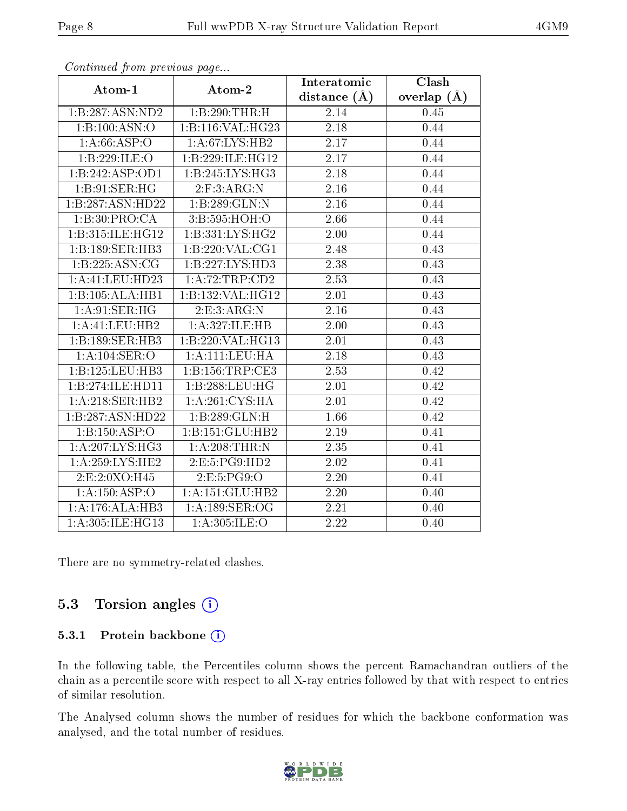|                     |                              | Interatomic      | Clash         |
|---------------------|------------------------------|------------------|---------------|
| Atom-1              | Atom-2                       | distance $(\AA)$ | overlap $(A)$ |
| 1:B:287:ASN:ND2     | 1:B:290:THR:H                | 2.14             | 0.45          |
| 1:B:100:ASN:O       | 1:B:116:VAL:HG23             | 2.18             | 0.44          |
| 1: A:66:ASP:O       | 1: A:67: LYS: HB2            | 2.17             | 0.44          |
| 1:B:229:ILE:O       | 1:B:229:ILE:HG12             | 2.17             | 0.44          |
| 1:B:242:ASP:OD1     | 1:B:245:LYS:HG3              | 2.18             | 0.44          |
| 1:B:91:SER:HG       | 2: F:3: ARG:N                | 2.16             | 0.44          |
| 1:B:287:ASN:HD22    | 1:B:289:GLN:N                | 2.16             | 0.44          |
| 1:B:30:PRO:CA       | 3:B:595:HOH:O                | 2.66             | 0.44          |
| 1:B:315:ILE:HG12    | 1: B: 331: LYS: HG2          | 2.00             | 0.44          |
| 1:B:189:SER:HB3     | 1:B:220:VAL:CG1              | 2.48             | 0.43          |
| 1:B:225:ASN:CG      | 1:B:227:LYS:HD3              | 2.38             | 0.43          |
| 1: A: 41: LEU: HD23 | 1:A:72:TRP:CD2               | 2.53             | 0.43          |
| 1:B:105:ALA:HB1     | 1:B:132:VAL:H <sub>G12</sub> | 2.01             | 0.43          |
| 1:A:91:SER:HG       | 2:E:3:ARG:N                  | 2.16             | 0.43          |
| 1:A:41:LEU:HB2      | 1:A:327:ILE:HB               | 2.00             | 0.43          |
| 1:B:189:SER:HB3     | 1:B:220:VAL:HG13             | 2.01             | 0.43          |
| 1:A:104:SER:O       | 1:A:111:LEU:HA               | 2.18             | 0.43          |
| 1:B:125:LEU:HB3     | 1: B: 156: TRP: CE3          | 2.53             | 0.42          |
| 1:B:274:ILE:HD11    | 1:B:288:LEU:HG               | 2.01             | 0.42          |
| 1: A:218: SER: HB2  | 1: A:261:CYS:HA              | 2.01             | 0.42          |
| 1:B:287:ASN:HD22    | 1:B:289:GLN:H                | 1.66             | 0.42          |
| 1:B:150:ASP:O       | 1:B:151:GLU:HB2              | 2.19             | 0.41          |
| 1: A:207:LYS:HG3    | 1: A:208:THR:N               | 2.35             | 0.41          |
| 1: A: 259: LYS: HE2 | 2:E:5:PG9:HD2                | 2.02             | 0.41          |
| 2:E:2:0XO:H45       | 2:E:5:PG9:O                  | 2.20             | 0.41          |
| 1:A:150:ASP:O       | 1:A:151:GLU:HB2              | 2.20             | 0.40          |
| 1:A:176:ALA:HB3     | 1: A:189: SER:OG             | 2.21             | 0.40          |
| 1:A:305:ILE:HG13    | 1: A:305: ILE: O             | 2.22             | 0.40          |

Continued from previous page...

There are no symmetry-related clashes.

### 5.3 Torsion angles  $(i)$

#### 5.3.1 Protein backbone (i)

In the following table, the Percentiles column shows the percent Ramachandran outliers of the chain as a percentile score with respect to all X-ray entries followed by that with respect to entries of similar resolution.

The Analysed column shows the number of residues for which the backbone conformation was analysed, and the total number of residues.

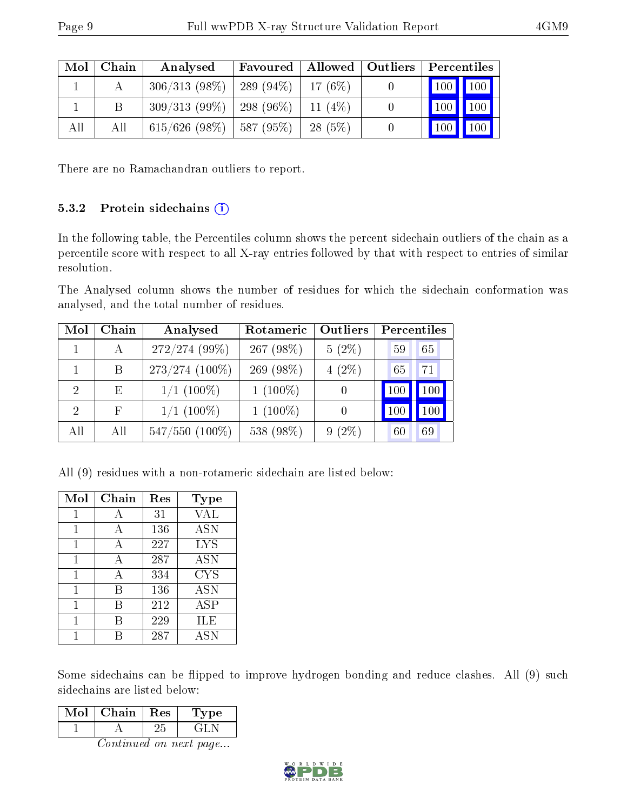| Mol | Chain | $\mid$ Allowed $\mid$ Outliers $\mid$<br>Favoured<br>Analysed |  | Percentiles |                              |
|-----|-------|---------------------------------------------------------------|--|-------------|------------------------------|
|     |       | $306/313$ (98\%)   289 (94\%)                                 |  | $17(6\%)$   | $\mid$ 100 $\mid$ 100 $\mid$ |
|     |       | $309/313$ (99\%)   298 (96\%)                                 |  | 11 $(4%)$   | 100<br>$\vert$ 100           |
| All | All   | $615/626$ (98\%)   587 (95\%)                                 |  | 28(5%)      | 100<br>$\sqrt{100}$          |

There are no Ramachandran outliers to report.

### 5.3.2 Protein sidechains  $(i)$

In the following table, the Percentiles column shows the percent sidechain outliers of the chain as a percentile score with respect to all X-ray entries followed by that with respect to entries of similar resolution.

The Analysed column shows the number of residues for which the sidechain conformation was analysed, and the total number of residues.

| Mol           | Chain       | Analysed            | Rotameric  | Outliers         | Percentiles     |         |  |
|---------------|-------------|---------------------|------------|------------------|-----------------|---------|--|
|               | A           | 272/274 (99%)       | 267 (98%)  | $5(2\%)$         | 59              | 65      |  |
|               | B.          | $273/274$ (100%)    | 269 (98%)  | $4(2\%)$         | 65              | 71      |  |
| $\mathcal{D}$ | E           | $1/1~(100\%)$       | $1(100\%)$ | $\left( \right)$ | 10 <sup>C</sup> | 100     |  |
| $\mathcal{D}$ | $\mathbf F$ | $1/1~(100\%)$       | $1(100\%)$ | $\left( \right)$ | 100             | $100\,$ |  |
| All           | All         | $547/550$ $(100\%)$ | 538 (98%)  | $9(2\%)$         | 60              | 69      |  |

All (9) residues with a non-rotameric sidechain are listed below:

| Mol | Chain | Res | <b>Type</b> |
|-----|-------|-----|-------------|
| 1   | А     | 31  | VAL         |
|     | А     | 136 | <b>ASN</b>  |
| 1   | А     | 227 | <b>LYS</b>  |
| 1   | A     | 287 | <b>ASN</b>  |
| 1   | А     | 334 | <b>CYS</b>  |
|     | B     | 136 | <b>ASN</b>  |
| 1   | В     | 212 | ASP         |
| 1   | R     | 229 | ILE         |
|     |       | 287 | <b>ASN</b>  |

Some sidechains can be flipped to improve hydrogen bonding and reduce clashes. All (9) such sidechains are listed below:

| Mol | Chain | Res | Type |
|-----|-------|-----|------|
|     |       |     |      |

Continued on next page...

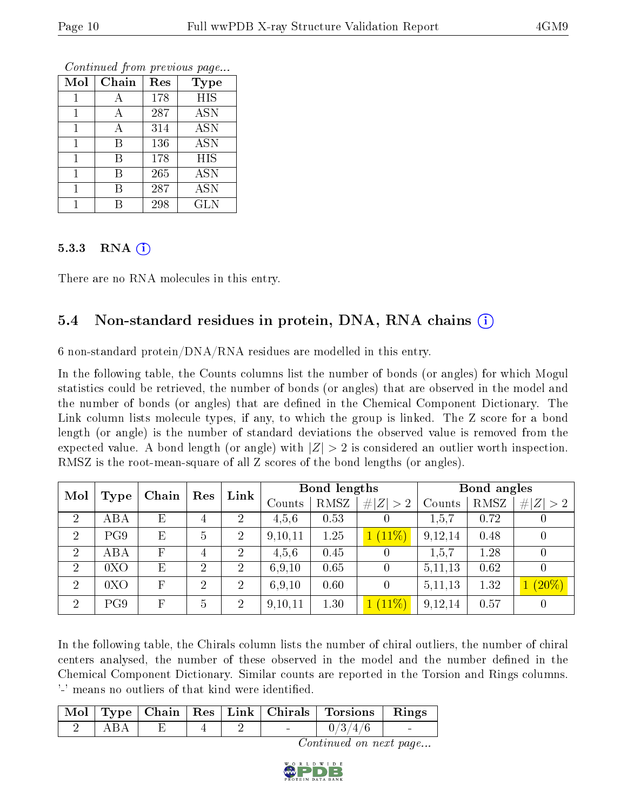| Mol | Chain | Res | Type       |
|-----|-------|-----|------------|
|     | А     | 178 | <b>HIS</b> |
|     | А     | 287 | <b>ASN</b> |
|     | Α     | 314 | <b>ASN</b> |
|     | В     | 136 | <b>ASN</b> |
|     | В     | 178 | <b>HIS</b> |
|     | В     | 265 | <b>ASN</b> |
|     | В     | 287 | <b>ASN</b> |
|     |       | 298 | <b>GLN</b> |

Continued from previous page...

#### 5.3.3 RNA [O](https://www.wwpdb.org/validation/2017/XrayValidationReportHelp#rna)i

There are no RNA molecules in this entry.

### 5.4 Non-standard residues in protein, DNA, RNA chains (i)

6 non-standard protein/DNA/RNA residues are modelled in this entry.

In the following table, the Counts columns list the number of bonds (or angles) for which Mogul statistics could be retrieved, the number of bonds (or angles) that are observed in the model and the number of bonds (or angles) that are defined in the Chemical Component Dictionary. The Link column lists molecule types, if any, to which the group is linked. The Z score for a bond length (or angle) is the number of standard deviations the observed value is removed from the expected value. A bond length (or angle) with  $|Z| > 2$  is considered an outlier worth inspection. RMSZ is the root-mean-square of all Z scores of the bond lengths (or angles).

| Mol            |             | Chain | Res            | Link           |         | Bond lengths |                |           | Bond angles |             |
|----------------|-------------|-------|----------------|----------------|---------|--------------|----------------|-----------|-------------|-------------|
|                | <b>Type</b> |       |                |                | Counts  | <b>RMSZ</b>  | # $ Z  > 2$    | Counts    | RMSZ        | # $ Z  > 2$ |
| $\overline{2}$ | ABA         | Е     | 4              | 2              | 4,5,6   | 0.53         | U              | 1,5,7     | 0.72        |             |
| $\overline{2}$ | PG9         | E     | 5              | $\overline{2}$ | 9,10,11 | 1.25         | $1(11\%)$      | 9,12,14   | 0.48        |             |
| 2              | ABA         | F     | $\overline{4}$ | $\overline{2}$ | 4,5,6   | 0.45         |                | 1,5,7     | 1.28        |             |
| $\overline{2}$ | 0XO         | Ε     | $\overline{2}$ | $\overline{2}$ | 6.9,10  | 0.65         | $\theta$       | 5,11,13   | 0.62        |             |
| $\overline{2}$ | 0XO         | F     | $\overline{2}$ | $\overline{2}$ | 6,9,10  | 0.60         | $\overline{0}$ | 5, 11, 13 | 1.32        | $(20\%)$    |
| $\overline{2}$ | PG9         | F     | 5              | 2              | 9,10,11 | 1.30         | $1(11\%)$      | 9,12,14   | 0.57        |             |

In the following table, the Chirals column lists the number of chiral outliers, the number of chiral centers analysed, the number of these observed in the model and the number defined in the Chemical Component Dictionary. Similar counts are reported in the Torsion and Rings columns. '-' means no outliers of that kind were identified.

|  |  |        | Mol   Type   Chain   Res   Link   Chirals   Torsions   Rings |          |
|--|--|--------|--------------------------------------------------------------|----------|
|  |  | $\sim$ | 0/3/4/6                                                      | $\equiv$ |

Continued on next page...

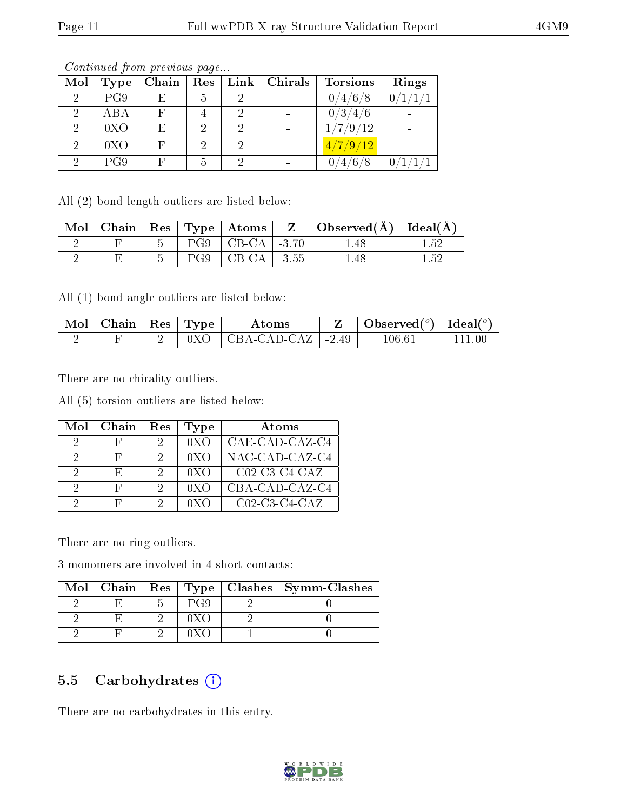| Mol            | <b>Type</b> | Chain | Res | $Link \,  $ | Chirals | <b>Torsions</b> | Rings |
|----------------|-------------|-------|-----|-------------|---------|-----------------|-------|
| $\overline{2}$ | PG9         | Е     | 5   |             |         | 0/4/6/8         |       |
| $\overline{2}$ | ABA         |       |     |             |         | 0/3/4/6         |       |
| 2              | 0XO         | E     | റ   |             |         | 1/7/9/12        |       |
| $\mathcal{D}$  | 0XO         |       | 2   | 2           |         | 4/7/9/12        |       |
| ച              | PG9         |       | 5   |             |         | /4/6/8          |       |

Continued from previous page...

All (2) bond length outliers are listed below:

| Mol |  |     | $\vert$ Chain $\vert$ Res $\vert$ Type $\vert$ Atoms $\vert$ | $\mathbf{Z}$ | $\mid$ Observed( $\AA$ ) $\mid$ Ideal( $\AA$ ) |     |
|-----|--|-----|--------------------------------------------------------------|--------------|------------------------------------------------|-----|
|     |  |     | $PG9$   CB-CA   -3.70                                        |              | .48                                            | .52 |
|     |  | PG9 | $\mid$ CB-CA $\mid$ -3.55                                    |              | .48                                            | -52 |

All (1) bond angle outliers are listed below:

| Mol | ' Chain | $\vert$ Res $\vert$ | Type | Atoms                    |               | Observed $(^\circ)$   Ideal $(^\circ)$ |  |
|-----|---------|---------------------|------|--------------------------|---------------|----------------------------------------|--|
|     |         |                     |      | $\overline{CBA-CAD-CAZ}$ | $\vert$ -2.49 | 106.61                                 |  |

There are no chirality outliers.

All (5) torsion outliers are listed below:

| Mol | Chain | Res | <b>Type</b> | $\rm{Atoms}$     |
|-----|-------|-----|-------------|------------------|
|     | н     |     | 0XO         | CAE-CAD-CAZ-C4   |
|     | H     |     | 0XO         | NAC-CAD-CAZ-C4   |
|     | Н,    |     | 0XO         | $CO2$ -C3-C4-CAZ |
| 9   | H,    | 9   | 0XO         | CBA-CAD-CAZ-C4   |
| ച   | Ы     |     | 0XO         | $C02-C3-C4-CAZ$  |

There are no ring outliers.

3 monomers are involved in 4 short contacts:

| Mol |  |  | Chain   Res   Type   Clashes   Symm-Clashes |
|-----|--|--|---------------------------------------------|
|     |  |  |                                             |
|     |  |  |                                             |
|     |  |  |                                             |

### 5.5 Carbohydrates (i)

There are no carbohydrates in this entry.

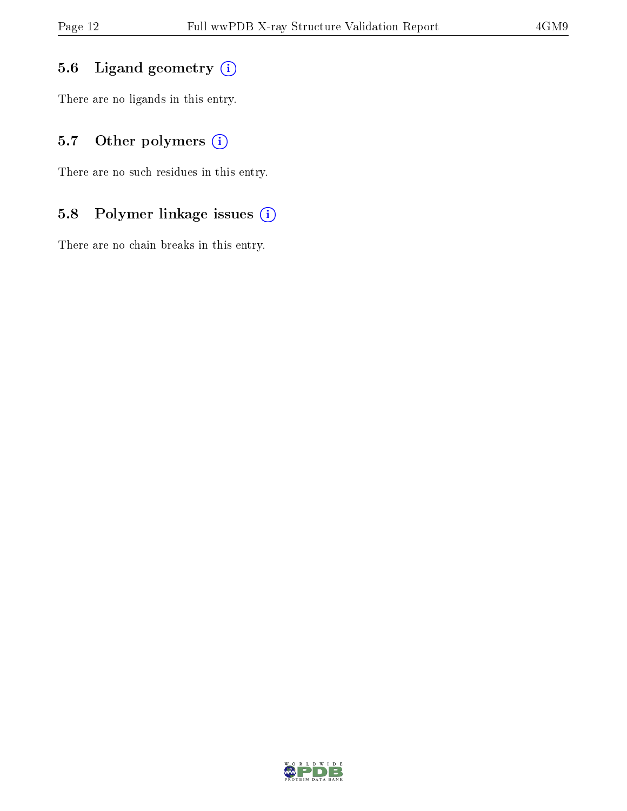### 5.6 Ligand geometry (i)

There are no ligands in this entry.

### 5.7 [O](https://www.wwpdb.org/validation/2017/XrayValidationReportHelp#nonstandard_residues_and_ligands)ther polymers (i)

There are no such residues in this entry.

### 5.8 Polymer linkage issues (i)

There are no chain breaks in this entry.

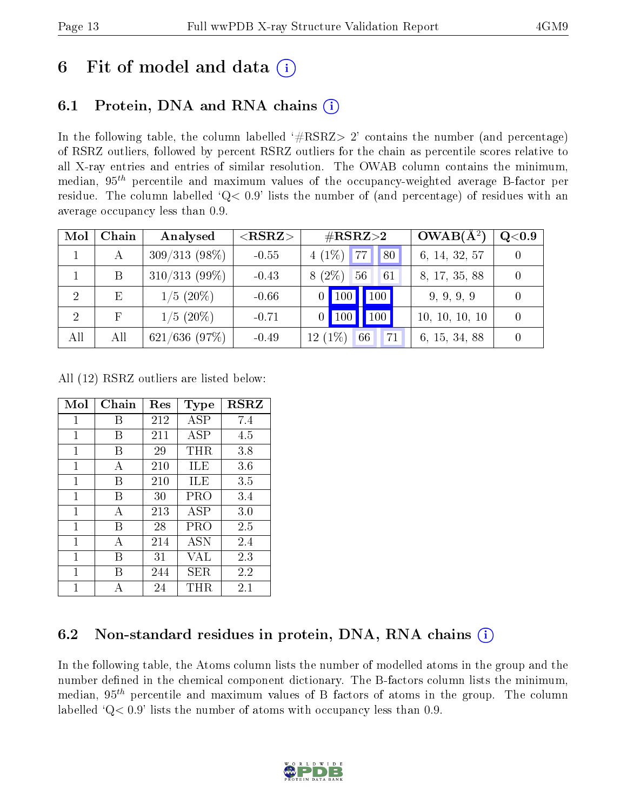## 6 Fit of model and data  $\left( \cdot \right)$

## 6.1 Protein, DNA and RNA chains (i)

In the following table, the column labelled  $#RSRZ>2'$  contains the number (and percentage) of RSRZ outliers, followed by percent RSRZ outliers for the chain as percentile scores relative to all X-ray entries and entries of similar resolution. The OWAB column contains the minimum, median,  $95<sup>th</sup>$  percentile and maximum values of the occupancy-weighted average B-factor per residue. The column labelled ' $Q< 0.9$ ' lists the number of (and percentage) of residues with an average occupancy less than 0.9.

| Mol            | Chain | Analysed        | $<$ RSRZ $>$ | $\#\text{RSRZ}{>}2$             | $OWAB(A^2)$    | $\rm Q\textcolor{black}{<}0.9$ |
|----------------|-------|-----------------|--------------|---------------------------------|----------------|--------------------------------|
|                | A     | $309/313(98\%)$ | $-0.55$      | $4(1\%)$ 77<br>180 <sub>h</sub> | 6, 14, 32, 57  |                                |
|                | B     | $310/313(99\%)$ | $-0.43$      | $(2\%)$<br>56<br>61<br>8        | 8, 17, 35, 88  |                                |
| $\overline{2}$ | E     | $1/5(20\%)$     | $-0.66$      | 100<br>$\vert$ 100 $\vert$      | 9, 9, 9, 9     |                                |
| $\overline{2}$ |       | $1/5(20\%)$     | $-0.71$      | 100<br>$\vert$ 100              | 10, 10, 10, 10 |                                |
| All            | All   | $621/636$ (97%) | $-0.49$      | 12(1%<br>66<br>71               | 6, 15, 34, 88  |                                |

All (12) RSRZ outliers are listed below:

| Mol          | Chain | Res | Type        | <b>RSRZ</b> |
|--------------|-------|-----|-------------|-------------|
| $\mathbf{1}$ | В     | 212 | ASP         | 7.4         |
| 1            | В     | 211 | ASP         | 4.5         |
| 1            | В     | 29  | $\rm THR$   | 3.8         |
| 1            | A     | 210 | ILE         | 3.6         |
| 1            | В     | 210 | ILE         | 3.5         |
| 1            | В     | 30  | PRO         | 3.4         |
| 1            | A     | 213 | ASP         | 3.0         |
| 1            | В     | 28  | PRO         | 2.5         |
| 1            | А     | 214 | ASN         | 2.4         |
| 1            | В     | 31  | VAL         | 2.3         |
| 1            | В     | 244 | ${\rm SER}$ | 2.2         |
| 1            |       | 24  | THR         | 2.1         |

### 6.2 Non-standard residues in protein, DNA, RNA chains  $(i)$

In the following table, the Atoms column lists the number of modelled atoms in the group and the number defined in the chemical component dictionary. The B-factors column lists the minimum, median,  $95<sup>th</sup>$  percentile and maximum values of B factors of atoms in the group. The column labelled  $Q< 0.9$ ' lists the number of atoms with occupancy less than 0.9.